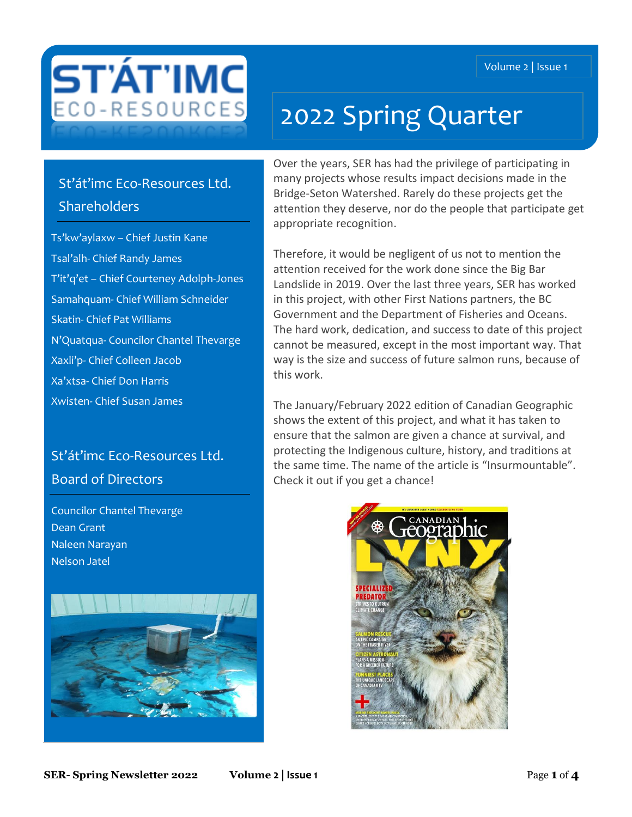

# 2022 Spring Quarter

## St'át'imc Eco-Resources Ltd. **Shareholders**

Ts'kw'aylaxw – Chief Justin Kane Tsal'alh- Chief Randy James T'it'q'et – Chief Courteney Adolph-Jones Samahquam- Chief William Schneider Skatin- Chief Pat Williams N'Quatqua- Councilor Chantel Thevarge Xaxli'p- Chief Colleen Jacob Xa'xtsa- Chief Don Harris Xwisten- Chief Susan James

## St'át'imc Eco-Resources Ltd. Board of Directors

Councilor Chantel Thevarge Dean Grant Naleen Narayan Nelson Jatel



Over the years, SER has had the privilege of participating in many projects whose results impact decisions made in the Bridge-Seton Watershed. Rarely do these projects get the attention they deserve, nor do the people that participate get appropriate recognition.

Therefore, it would be negligent of us not to mention the attention received for the work done since the Big Bar Landslide in 2019. Over the last three years, SER has worked in this project, with other First Nations partners, the BC Government and the Department of Fisheries and Oceans. The hard work, dedication, and success to date of this project cannot be measured, except in the most important way. That way is the size and success of future salmon runs, because of this work.

The January/February 2022 edition of Canadian Geographic shows the extent of this project, and what it has taken to ensure that the salmon are given a chance at survival, and protecting the Indigenous culture, history, and traditions at the same time. The name of the article is "Insurmountable". Check it out if you get a chance!

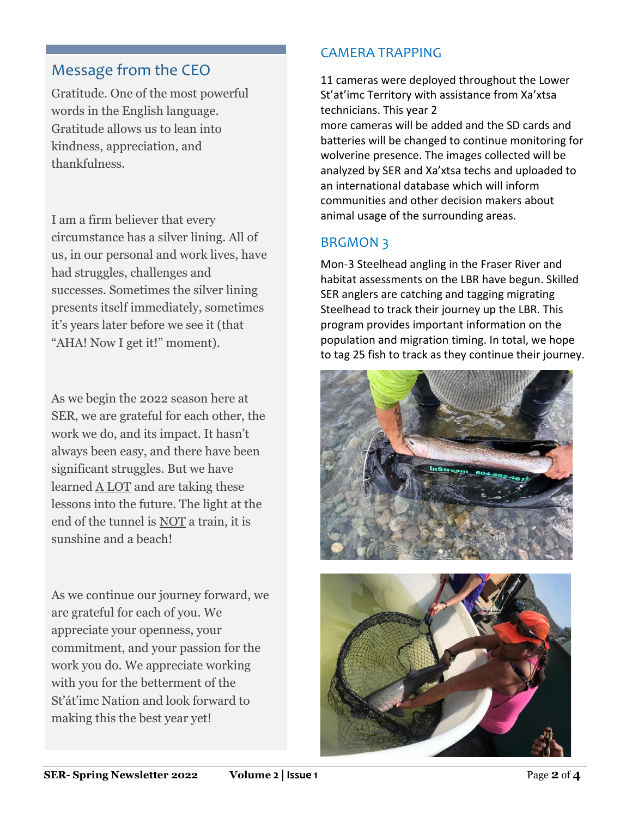#### Message from the CEO

Gratitude. One of the most powerful words in the English language. Gratitude allows us to lean into kindness, appreciation, and thankfulness.

I am a firm believer that every circumstance has a silver lining. All of us, in our personal and work lives, have had struggles, challenges and successes. Sometimes the silver lining presents itself immediately, sometimes it's years later before we see it (that "AHA! Now I get it!" moment).

As we begin the 2022 season here at SER, we are grateful for each other, the work we do, and its impact. It hasn't always been easy, and there have been significant struggles. But we have learned A LOT and are taking these lessons into the future. The light at the end of the tunnel is NOT a train, it is sunshine and a beach!

As we continue our journey forward, we are grateful for each of you. We appreciate your openness, your commitment, and your passion for the work you do. We appreciate working with you for the betterment of the St'át'imc Nation and look forward to making this the best year yet!

#### CAMERA TRAPPING

11 cameras were deployed throughout the Lower St'at'imc Territory with assistance from Xa'xtsa technicians. This year 2 more cameras will be added and the SD cards and batteries will be changed to continue monitoring for wolverine presence. The images collected will be analyzed by SER and Xa'xtsa techs and uploaded to an international database which will inform communities and other decision makers about animal usage of the surrounding areas.

#### BRGMON 3

Mon-3 Steelhead angling in the Fraser River and habitat assessments on the LBR have begun. Skilled SER anglers are catching and tagging migrating Steelhead to track their journey up the LBR. This program provides important information on the population and migration timing. In total, we hope to tag 25 fish to track as they continue their journey.



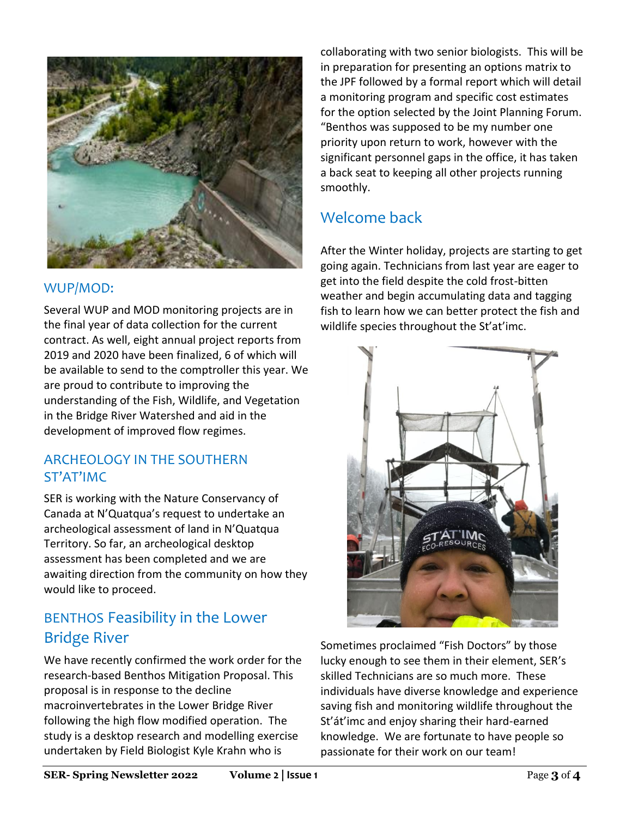

#### WUP/MOD:

Several WUP and MOD monitoring projects are in the final year of data collection for the current contract. As well, eight annual project reports from 2019 and 2020 have been finalized, 6 of which will be available to send to the comptroller this year. We are proud to contribute to improving the understanding of the Fish, Wildlife, and Vegetation in the Bridge River Watershed and aid in the development of improved flow regimes.

#### ARCHEOLOGY IN THE SOUTHERN ST'AT'IMC

SER is working with the Nature Conservancy of Canada at N'Quatqua's request to undertake an archeological assessment of land in N'Quatqua Territory. So far, an archeological desktop assessment has been completed and we are awaiting direction from the community on how they would like to proceed.

## BENTHOS Feasibility in the Lower Bridge River

We have recently confirmed the work order for the research-based Benthos Mitigation Proposal. This proposal is in response to the decline macroinvertebrates in the Lower Bridge River following the high flow modified operation. The study is a desktop research and modelling exercise undertaken by Field Biologist Kyle Krahn who is

collaborating with two senior biologists. This will be in preparation for presenting an options matrix to the JPF followed by a formal report which will detail a monitoring program and specific cost estimates for the option selected by the Joint Planning Forum. "Benthos was supposed to be my number one priority upon return to work, however with the significant personnel gaps in the office, it has taken a back seat to keeping all other projects running smoothly.

## Welcome back

After the Winter holiday, projects are starting to get going again. Technicians from last year are eager to get into the field despite the cold frost-bitten weather and begin accumulating data and tagging fish to learn how we can better protect the fish and wildlife species throughout the St'at'imc.



Sometimes proclaimed "Fish Doctors" by those lucky enough to see them in their element, SER's skilled Technicians are so much more. These individuals have diverse knowledge and experience saving fish and monitoring wildlife throughout the St'át'imc and enjoy sharing their hard-earned knowledge. We are fortunate to have people so passionate for their work on our team!